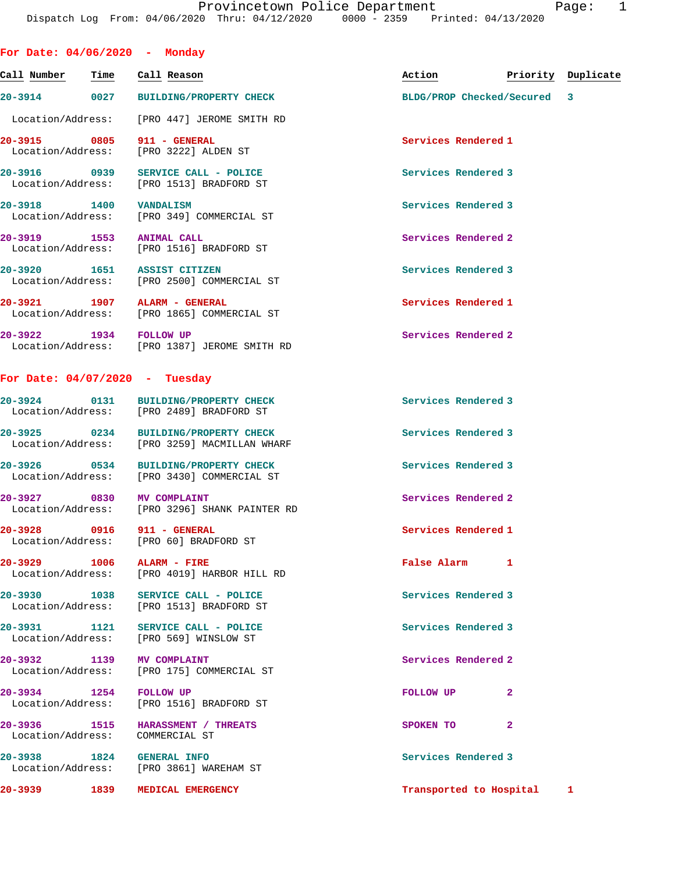| For Date: 04/06/2020 - Monday    |      |                                                                                      |                     |                           |                    |
|----------------------------------|------|--------------------------------------------------------------------------------------|---------------------|---------------------------|--------------------|
| Call Number                      | Time | Call Reason                                                                          | Action              |                           | Priority Duplicate |
|                                  |      | 20-3914 0027 BUILDING/PROPERTY CHECK                                                 |                     | BLDG/PROP Checked/Secured | 3                  |
|                                  |      | Location/Address: [PRO 447] JEROME SMITH RD                                          |                     |                           |                    |
| 20-3915 0805                     |      | 911 - GENERAL<br>Location/Address: [PRO 3222] ALDEN ST                               | Services Rendered 1 |                           |                    |
| 20-3916 0939                     |      | SERVICE CALL - POLICE<br>Location/Address: [PRO 1513] BRADFORD ST                    | Services Rendered 3 |                           |                    |
| 20-3918 1400                     |      | <b>VANDALISM</b><br>Location/Address: [PRO 349] COMMERCIAL ST                        | Services Rendered 3 |                           |                    |
| 20-3919 1553                     |      | <b>ANIMAL CALL</b><br>Location/Address: [PRO 1516] BRADFORD ST                       | Services Rendered 2 |                           |                    |
| 20-3920 1651 ASSIST CITIZEN      |      | Location/Address: [PRO 2500] COMMERCIAL ST                                           | Services Rendered 3 |                           |                    |
| 20-3921 1907 ALARM - GENERAL     |      | Location/Address: [PRO 1865] COMMERCIAL ST                                           | Services Rendered 1 |                           |                    |
| 20-3922 1934 FOLLOW UP           |      | Location/Address: [PRO 1387] JEROME SMITH RD                                         | Services Rendered 2 |                           |                    |
| For Date: $04/07/2020$ - Tuesday |      |                                                                                      |                     |                           |                    |
| 20-3924 0131                     |      | <b>BUILDING/PROPERTY CHECK</b><br>Location/Address: [PRO 2489] BRADFORD ST           | Services Rendered 3 |                           |                    |
|                                  |      | 20-3925 0234 BUILDING/PROPERTY CHECK<br>Location/Address: [PRO 3259] MACMILLAN WHARF | Services Rendered 3 |                           |                    |
|                                  |      | 20-3926 0534 BUILDING/PROPERTY CHECK<br>Location/Address: [PRO 3430] COMMERCIAL ST   | Services Rendered 3 |                           |                    |
| 20-3927 0830                     |      | <b>MV COMPLAINT</b><br>Location/Address: [PRO 3296] SHANK PAINTER RD                 | Services Rendered 2 |                           |                    |
| 20-3928 0916                     |      | 911 - GENERAL<br>Location/Address: [PRO 60] BRADFORD ST                              | Services Rendered 1 |                           |                    |
| 20-3929 1006                     |      | ALARM - FIRE<br>Location/Address: [PRO 4019] HARBOR HILL RD                          | False Alarm         | 1                         |                    |
|                                  |      | 20-3930 1038 SERVICE CALL - POLICE<br>Location/Address: [PRO 1513] BRADFORD ST       | Services Rendered 3 |                           |                    |
|                                  |      | 20-3931 1121 SERVICE CALL - POLICE<br>Location/Address: [PRO 569] WINSLOW ST         | Services Rendered 3 |                           |                    |
| 20-3932 1139 MV COMPLAINT        |      | Location/Address: [PRO 175] COMMERCIAL ST                                            | Services Rendered 2 |                           |                    |
| 20-3934 1254 FOLLOW UP           |      | Location/Address: [PRO 1516] BRADFORD ST                                             | FOLLOW UP           | $\mathbf{2}$              |                    |
| Location/Address: COMMERCIAL ST  |      | 20-3936 1515 HARASSMENT / THREATS                                                    | SPOKEN TO           | $\mathbf{2}$              |                    |
| 20-3938 1824 GENERAL INFO        |      | Location/Address: [PRO 3861] WAREHAM ST                                              | Services Rendered 3 |                           |                    |
|                                  |      | 20-3939 1839 MEDICAL EMERGENCY                                                       |                     | Transported to Hospital 1 |                    |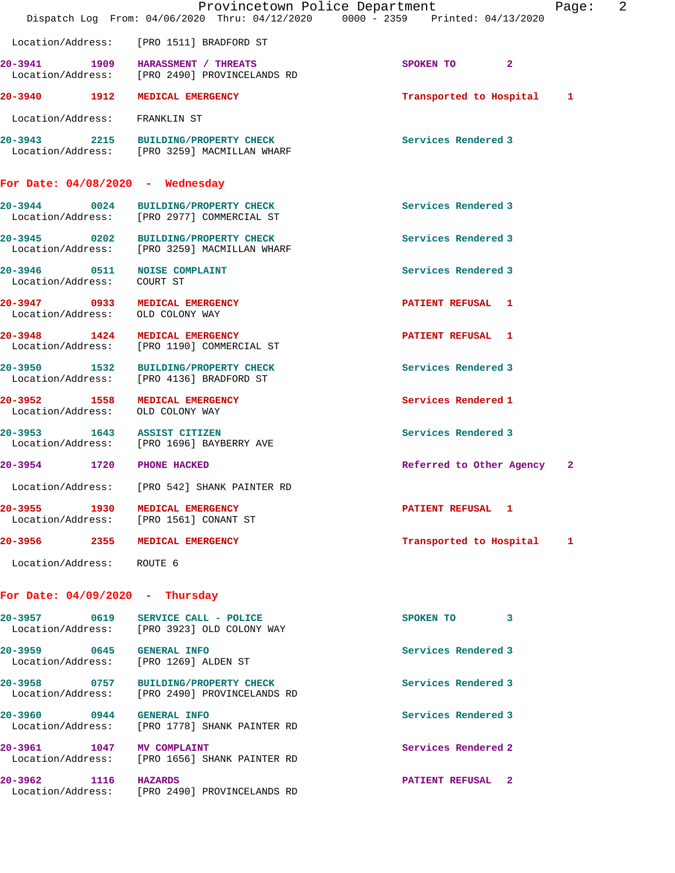|                                                                    | Provincetown Police Department<br>Dispatch Log From: 04/06/2020 Thru: 04/12/2020 0000 - 2359 Printed: 04/13/2020 |                            | 2<br>Page: |
|--------------------------------------------------------------------|------------------------------------------------------------------------------------------------------------------|----------------------------|------------|
|                                                                    | Location/Address: [PRO 1511] BRADFORD ST                                                                         |                            |            |
|                                                                    | 20-3941 1909 HARASSMENT / THREATS<br>Location/Address: [PRO 2490] PROVINCELANDS RD                               | SPOKEN TO 2                |            |
| 20-3940 1912                                                       | MEDICAL EMERGENCY                                                                                                | Transported to Hospital    | 1          |
| Location/Address: FRANKLIN ST                                      |                                                                                                                  |                            |            |
|                                                                    | 20-3943 2215 BUILDING/PROPERTY CHECK<br>Location/Address: [PRO 3259] MACMILLAN WHARF                             | Services Rendered 3        |            |
| For Date: $04/08/2020$ - Wednesday                                 |                                                                                                                  |                            |            |
| 20-3944 0024                                                       | <b>BUILDING/PROPERTY CHECK</b><br>Location/Address: [PRO 2977] COMMERCIAL ST                                     | Services Rendered 3        |            |
|                                                                    | 20-3945 0202 BUILDING/PROPERTY CHECK<br>Location/Address: [PRO 3259] MACMILLAN WHARF                             | Services Rendered 3        |            |
| 20-3946 0511 NOISE COMPLAINT<br>Location/Address:                  | COURT ST                                                                                                         | Services Rendered 3        |            |
| 20-3947 0933 MEDICAL EMERGENCY<br>Location/Address: OLD COLONY WAY |                                                                                                                  | PATIENT REFUSAL 1          |            |
|                                                                    | 20-3948 1424 MEDICAL EMERGENCY<br>Location/Address: [PRO 1190] COMMERCIAL ST                                     | <b>PATIENT REFUSAL 1</b>   |            |
|                                                                    | 20-3950 1532 BUILDING/PROPERTY CHECK<br>Location/Address: [PRO 4136] BRADFORD ST                                 | Services Rendered 3        |            |
| 20-3952 1558 MEDICAL EMERGENCY<br>Location/Address: OLD COLONY WAY |                                                                                                                  | Services Rendered 1        |            |
| 20-3953 1643 ASSIST CITIZEN                                        | Location/Address: [PRO 1696] BAYBERRY AVE                                                                        | Services Rendered 3        |            |
| 20-3954 1720                                                       | <b>PHONE HACKED</b>                                                                                              | Referred to Other Agency 2 |            |
|                                                                    | Location/Address: [PRO 542] SHANK PAINTER RD                                                                     |                            |            |
| 20-3955 1930 MEDICAL EMERGENCY                                     | Location/Address: [PRO 1561] CONANT ST                                                                           | PATIENT REFUSAL 1          |            |
| 20-3956 2355 MEDICAL EMERGENCY                                     |                                                                                                                  | Transported to Hospital    | 1          |
| Location/Address: ROUTE 6                                          |                                                                                                                  |                            |            |
| For Date: $04/09/2020 -$ Thursday                                  |                                                                                                                  |                            |            |
|                                                                    | 20-3957 0619 SERVICE CALL - POLICE<br>Location/Address: [PRO 3923] OLD COLONY WAY                                | SPOKEN TO<br>3             |            |
| 20-3959 0645 GENERAL INFO<br>Location/Address: [PRO 1269] ALDEN ST |                                                                                                                  | Services Rendered 3        |            |
|                                                                    | 20-3958 0757 BUILDING/PROPERTY CHECK<br>Location/Address: [PRO 2490] PROVINCELANDS RD                            | Services Rendered 3        |            |
| 20-3960 0944 GENERAL INFO                                          | Location/Address: [PRO 1778] SHANK PAINTER RD                                                                    | Services Rendered 3        |            |
| 20-3961 1047 MV COMPLAINT                                          | Location/Address: [PRO 1656] SHANK PAINTER RD                                                                    | Services Rendered 2        |            |
| 20-3962 1116 HAZARDS                                               |                                                                                                                  | PATIENT REFUSAL 2          |            |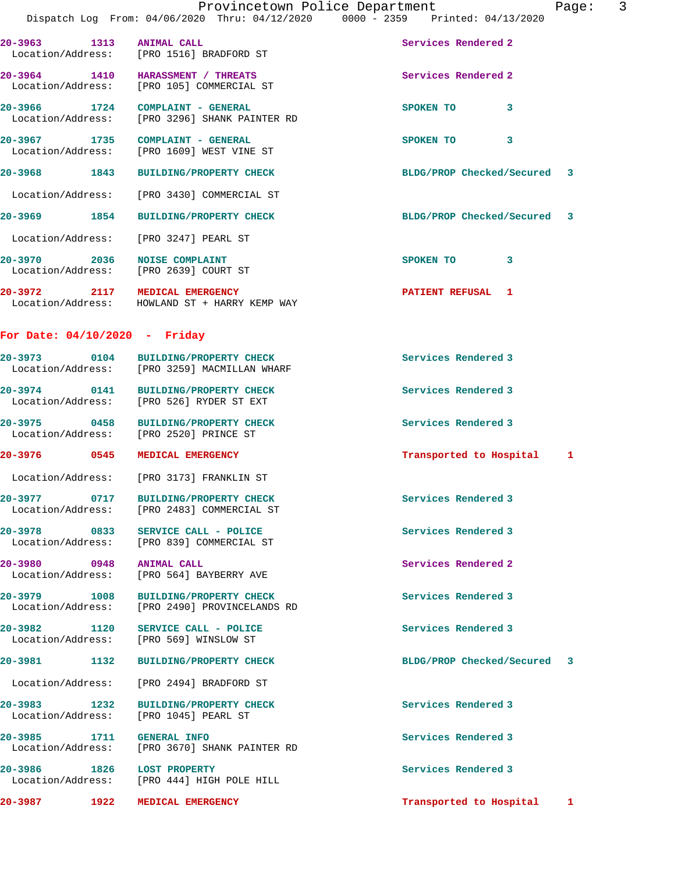|                                   | Dispatch Log From: 04/06/2020 Thru: 04/12/2020                                       | Provincetown Police Department<br>$0000 - 2359$ Printed: $04/13/2020$ | 3<br>Page: |
|-----------------------------------|--------------------------------------------------------------------------------------|-----------------------------------------------------------------------|------------|
|                                   | 20-3963 1313 ANIMAL CALL<br>Location/Address: [PRO 1516] BRADFORD ST                 | Services Rendered 2                                                   |            |
|                                   | 20-3964 1410 HARASSMENT / THREATS<br>Location/Address: [PRO 105] COMMERCIAL ST       | Services Rendered 2                                                   |            |
|                                   | 20-3966 1724 COMPLAINT - GENERAL<br>Location/Address: [PRO 3296] SHANK PAINTER RD    | SPOKEN TO<br>$\mathbf{3}$                                             |            |
|                                   | 20-3967 1735 COMPLAINT - GENERAL<br>Location/Address: [PRO 1609] WEST VINE ST        | SPOKEN TO 3                                                           |            |
|                                   | 20-3968 1843 BUILDING/PROPERTY CHECK                                                 | BLDG/PROP Checked/Secured 3                                           |            |
|                                   | Location/Address: [PRO 3430] COMMERCIAL ST                                           |                                                                       |            |
| 20–3969 1854                      | <b>BUILDING/PROPERTY CHECK</b>                                                       | BLDG/PROP Checked/Secured                                             | 3          |
|                                   | Location/Address: [PRO 3247] PEARL ST                                                |                                                                       |            |
| 20-3970 2036                      | <b>NOISE COMPLAINT</b><br>Location/Address: [PRO 2639] COURT ST                      | SPOKEN TO 3                                                           |            |
|                                   | 20-3972 2117 MEDICAL EMERGENCY<br>Location/Address: HOWLAND ST + HARRY KEMP WAY      | <b>PATIENT REFUSAL 1</b>                                              |            |
|                                   | For Date: $04/10/2020$ - Friday                                                      |                                                                       |            |
|                                   | 20-3973 0104 BUILDING/PROPERTY CHECK<br>Location/Address: [PRO 3259] MACMILLAN WHARF | Services Rendered 3                                                   |            |
|                                   | 20-3974 0141 BUILDING/PROPERTY CHECK<br>Location/Address: [PRO 526] RYDER ST EXT     | Services Rendered 3                                                   |            |
|                                   | 20-3975 0458 BUILDING/PROPERTY CHECK<br>Location/Address: [PRO 2520] PRINCE ST       | Services Rendered 3                                                   |            |
|                                   | 20-3976 0545 MEDICAL EMERGENCY                                                       | Transported to Hospital                                               | 1          |
|                                   | Location/Address: [PRO 3173] FRANKLIN ST                                             |                                                                       |            |
|                                   | 20-3977 0717 BUILDING/PROPERTY CHECK<br>Location/Address: [PRO 2483] COMMERCIAL ST   | Services Rendered 3                                                   |            |
| 20-3978 0833<br>Location/Address: | SERVICE CALL - POLICE<br>[PRO 839] COMMERCIAL ST                                     | Services Rendered 3                                                   |            |
| 20-3980 0948<br>Location/Address: | <b>ANIMAL CALL</b><br>[PRO 564] BAYBERRY AVE                                         | Services Rendered 2                                                   |            |
| 20-3979 1008<br>Location/Address: | <b>BUILDING/PROPERTY CHECK</b><br>[PRO 2490] PROVINCELANDS RD                        | Services Rendered 3                                                   |            |
| 20-3982 1120<br>Location/Address: | SERVICE CALL - POLICE<br>[PRO 569] WINSLOW ST                                        | Services Rendered 3                                                   |            |
| 20-3981                           | 1132<br><b>BUILDING/PROPERTY CHECK</b>                                               | BLDG/PROP Checked/Secured                                             | 3          |
|                                   | Location/Address: [PRO 2494] BRADFORD ST                                             |                                                                       |            |
| 20-3983<br>1232                   | <b>BUILDING/PROPERTY CHECK</b><br>Location/Address: [PRO 1045] PEARL ST              | Services Rendered 3                                                   |            |

**20-3985 1711 GENERAL INFO Services Rendered 3**  Location/Address: [PRO 3670] SHANK PAINTER RD

20-3986 1826 LOST PROPERTY **1826 1826 1827 1828 1828 1828 1828 1828** Services Rendered 3 Location/Address: [PRO 444] HIGH POLE HILL

**20-3987 1922 MEDICAL EMERGENCY Transported to Hospital 1**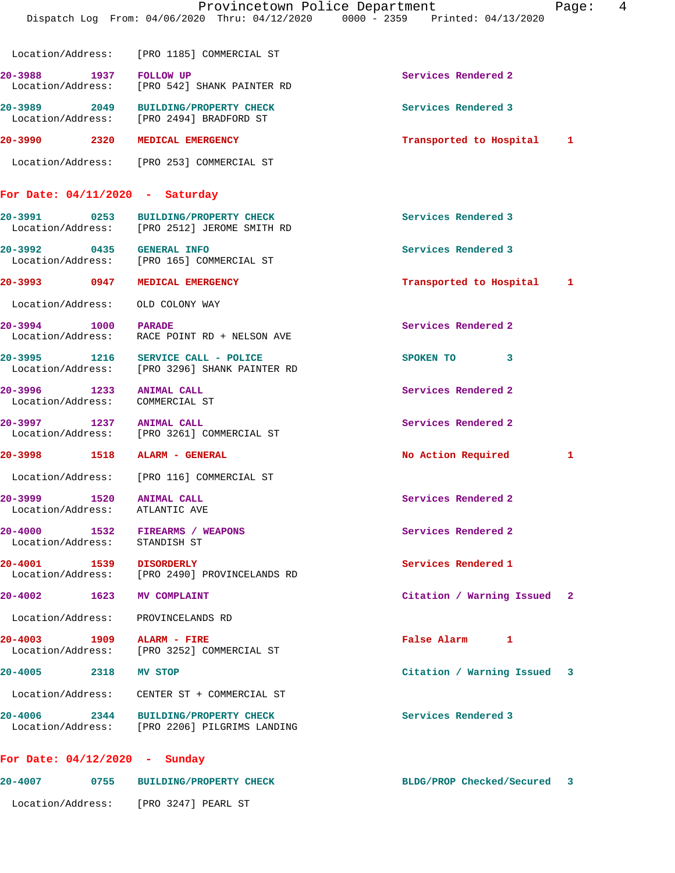|                                      | Provincetown Police Department<br>Dispatch Log From: 04/06/2020 Thru: 04/12/2020 0000 - 2359 Printed: 04/13/2020 | Page:                        | 4 |
|--------------------------------------|------------------------------------------------------------------------------------------------------------------|------------------------------|---|
|                                      | Location/Address: [PRO 1185] COMMERCIAL ST                                                                       |                              |   |
| 20-3988 1937                         | <b>FOLLOW UP</b><br>Location/Address: [PRO 542] SHANK PAINTER RD                                                 | Services Rendered 2          |   |
|                                      | 20-3989 2049 BUILDING/PROPERTY CHECK<br>Location/Address: [PRO 2494] BRADFORD ST                                 | Services Rendered 3          |   |
| 20-3990 2320 MEDICAL EMERGENCY       |                                                                                                                  | Transported to Hospital 1    |   |
|                                      | Location/Address: [PRO 253] COMMERCIAL ST                                                                        |                              |   |
| For Date: $04/11/2020$ - Saturday    |                                                                                                                  |                              |   |
|                                      | 20-3991 0253 BUILDING/PROPERTY CHECK<br>Location/Address: [PRO 2512] JEROME SMITH RD                             | Services Rendered 3          |   |
| 20-3992 0435 GENERAL INFO            | Location/Address: [PRO 165] COMMERCIAL ST                                                                        | Services Rendered 3          |   |
| 20-3993 0947 MEDICAL EMERGENCY       |                                                                                                                  | Transported to Hospital<br>1 |   |
| Location/Address: OLD COLONY WAY     |                                                                                                                  |                              |   |
| 20-3994 1000                         | <b>PARADE</b><br>Location/Address: RACE POINT RD + NELSON AVE                                                    | Services Rendered 2          |   |
|                                      | 20-3995 1216 SERVICE CALL - POLICE<br>Location/Address: [PRO 3296] SHANK PAINTER RD                              | SPOKEN TO<br>3               |   |
| 1233<br>20-3996<br>Location/Address: | <b>ANIMAL CALL</b><br>COMMERCIAL ST                                                                              | Services Rendered 2          |   |
| 20-3997 1237 ANIMAL CALL             | Location/Address: [PRO 3261] COMMERCIAL ST                                                                       | Services Rendered 2          |   |
|                                      |                                                                                                                  | No Action Required<br>1      |   |
|                                      | Location/Address: [PRO 116] COMMERCIAL ST                                                                        |                              |   |
| 20-3999<br>1520<br>Location/Address: | <b>ANIMAL CALL</b><br>ATLANTIC AVE                                                                               | Services Rendered 2          |   |
| 20-4000<br>Location/Address:         | 1532 FIREARMS / WEAPONS<br>STANDISH ST                                                                           | Services Rendered 2          |   |
| 20-4001 1539 DISORDERLY              | Location/Address: [PRO 2490] PROVINCELANDS RD                                                                    | Services Rendered 1          |   |
| 20-4002 1623 MV COMPLAINT            |                                                                                                                  | Citation / Warning Issued 2  |   |
| Location/Address: PROVINCELANDS RD   |                                                                                                                  |                              |   |
| 20-4003 1909 ALARM - FIRE            | Location/Address: [PRO 3252] COMMERCIAL ST                                                                       | False Alarm 1                |   |
| 20-4005 2318 MV STOP                 |                                                                                                                  | Citation / Warning Issued 3  |   |
|                                      | Location/Address:     CENTER ST + COMMERCIAL ST                                                                  |                              |   |
|                                      | 20-4006 2344 BUILDING/PROPERTY CHECK<br>Location/Address: [PRO 2206] PILGRIMS LANDING                            | Services Rendered 3          |   |
| For Date: $04/12/2020$ - Sunday      |                                                                                                                  |                              |   |

**20-4007 0755 BUILDING/PROPERTY CHECK BLDG/PROP Checked/Secured 3** Location/Address: [PRO 3247] PEARL ST